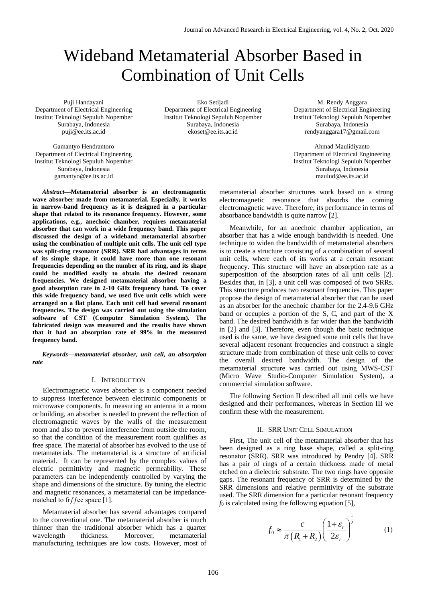# Wideband Metamaterial Absorber Based in Combination of Unit Cells

Puji Handayani Department of Electrical Engineering Institut Teknologi Sepuluh Nopember Surabaya, Indonesia [puji@ee.its.ac.id](mailto:puji@ee.its.ac.id)

Gamantyo Hendrantoro Department of Electrical Engineering Institut Teknologi Sepuluh Nopember Surabaya, Indonesia gamantyo@ee.its.ac.id

*Abstract***—Metamaterial absorber is an electromagnetic wave absorber made from metamaterial. Especially, it works in narrow-band frequency as it is designed in a particular shape that related to its resonance frequency. However, some applications, e.g., anechoic chamber, requires metamaterial absorber that can work in a wide frequency band. This paper discussed the design of a wideband metamaterial absorber using the combination of multiple unit cells. The unit cell type was split-ring resonator (SRR). SRR had advantages in terms of its simple shape, it could have more than one resonant frequencies depending on the number of its ring, and its shape could be modified easily to obtain the desired resonant frequencies. We designed metamaterial absorber having a good absorption rate in 2-10 GHz frequency band. To cover this wide frequency band, we used five unit cells which were arranged on a flat plane. Each unit cell had several resonant frequencies. The design was carried out using the simulation software of CST (Computer Simulation System). The fabricated design was measured and the results have shown that it had an absorption rate of 99% in the measured frequency band.** 

*Keywords—metamaterial absorber, unit cell, an absorption rate*

## I. INTRODUCTION

Electromagnetic waves absorber is a component needed to suppress interference between electronic components or microwave components. In measuring an antenna in a room or building, an absorber is needed to prevent the reflection of electromagnetic waves by the walls of the measurement room and also to prevent interference from outside the room, so that the condition of the measurement room qualifies as free space. The material of absorber has evolved to the use of metamaterials. The metamaterial is a structure of artificial material. It can be represented by the complex values of electric permittivity and magnetic permeability. These parameters can be independently controlled by varying the shape and dimensions of the structure. By tuning the electric and magnetic resonances, a metamaterial can be impedancematched to fr $f$  fee space [1].

Metamaterial absorber has several advantages compared to the conventional one. The metamaterial absorber is much thinner than the traditional absorber which has a quarter wavelength thickness. Moreover, metamaterial manufacturing techniques are low costs. However, most of

Eko Setijadi Department of Electrical Engineering Institut Teknologi Sepuluh Nopember Surabaya, Indonesia ekoset@ee.its.ac.id

M. Rendy Anggara Department of Electrical Engineering Institut Teknologi Sepuluh Nopember Surabaya, Indonesia rendyanggara17@gmail.com

Ahmad Maulidiyanto Department of Electrical Engineering Institut Teknologi Sepuluh Nopember Surabaya, Indonesia maulud@ee.its.ac.id

metamaterial absorber structures work based on a strong electromagnetic resonance that absorbs the coming electromagnetic wave. Therefore, its performance in terms of absorbance bandwidth is quite narrow [2].

Meanwhile, for an anechoic chamber application, an absorber that has a wide enough bandwidth is needed. One technique to widen the bandwidth of metamaterial absorbers is to create a structure consisting of a combination of several unit cells, where each of its works at a certain resonant frequency. This structure will have an absorption rate as a superposition of the absorption rates of all unit cells [2]. Besides that, in [3], a unit cell was composed of two SRRs. This structure produces two resonant frequencies. This paper propose the design of metamaterial absorber that can be used as an absorber for the anechoic chamber for the 2.4-9.6 GHz band or occupies a portion of the S, C, and part of the X band. The desired bandwidth is far wider than the bandwidth in [2] and [3]. Therefore, even though the basic technique used is the same, we have designed some unit cells that have several adjacent resonant frequencies and construct a single structure made from combination of these unit cells to cover the overall desired bandwidth. The design of the metamaterial structure was carried out using MWS-CST (Micro Wave Studio-Computer Simulation System), a commercial simulation software.

The following Section II described all unit cells we have designed and their performances, whereas in Section III we confirm these with the measurement.

# II. SRR UNIT CELL SIMULATION

First, The unit cell of the metamaterial absorber that has been designed as a ring base shape, called a split-ring resonator (SRR). SRR was introduced by Pendry [4]. SRR has a pair of rings of a certain thickness made of metal etched on a dielectric substrate. The two rings have opposite gaps. The resonant frequency of SRR is determined by the SRR dimensions and relative permittivity of the substrate used. The SRR dimension for a particular resonant frequency  $f_0$  is calculated using the following equation [5],

$$
f_0 \approx \frac{c}{\pi (R_1 + R_2)} \left( \frac{1 + \varepsilon_r}{2\varepsilon_r} \right)^{\frac{1}{2}}
$$
 (1)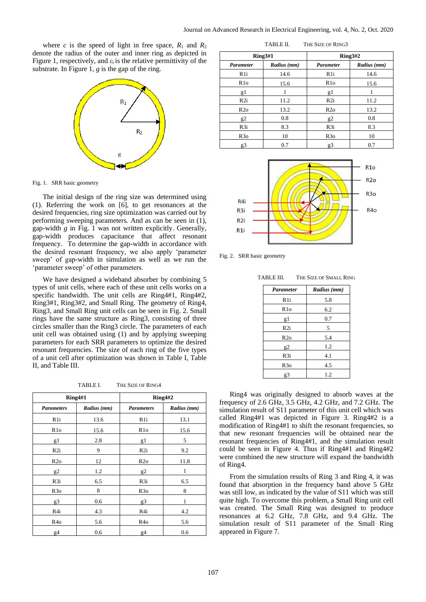where *c* is the speed of light in free space,  $R_1$  and  $R_2$ denote the radius of the outer and inner ring as depicted in Figure 1, respectively, and  $\varepsilon_r$  is the relative permittivity of the substrate. In Figure 1, *g* is the gap of the ring.



Fig. 1. SRR basic geometry

The initial design of the ring size was determined using (1). Referring the work on [6], to get resonances at the desired frequencies, ring size optimization was carried out by performing sweeping parameters. And as can be seen in (1), gap-width *g* in Fig. 1 was not written explicitly. Generally, gap-width produces capacitance that affect resonant frequency. To determine the gap-width in accordance with the desired resonant frequency, we also apply 'parameter sweep' of gap-width in simulation as well as we run the 'parameter sweep' of other parameters.

We have designed a wideband absorber by combining 5 types of unit cells, where each of these unit cells works on a specific bandwidth. The unit cells are Ring4#1, Ring4#2, Ring3#1, Ring3#2, and Small Ring. The geometry of Ring4, Ring3, and Small Ring unit cells can be seen in Fig. 2. Small rings have the same structure as Ring3, consisting of three circles smaller than the Ring3 circle. The parameters of each unit cell was obtained using (1) and by applying sweeping parameters for each SRR parameters to optimize the desired resonant frequencies. The size of each ring of the five types of a unit cell after optimization was shown in Table I, Table II, and Table III.

TABLE I. THE SIZE OF RING4

| Ring4#1           |             | Ring4#2           |             |
|-------------------|-------------|-------------------|-------------|
| <b>Parameters</b> | Radius (mm) | <b>Parameters</b> | Radius (mm) |
| R <sub>1</sub> i  | 13.6        | R <sub>1</sub> i  | 13.1        |
| R <sub>10</sub>   | 15.6        | R1o               | 15.6        |
| g1                | 2.8         | g1                | 5           |
| R2i               | 9           | R <sub>2i</sub>   | 9.2         |
| R2o               | 12          | R2o               | 11.8        |
| g2                | 1.2         | g2                | 1           |
| R <sub>3i</sub>   | 6.5         | R <sub>3i</sub>   | 6.5         |
| R <sub>30</sub>   | 8           | R <sub>3</sub> o  | 8           |
| g3                | 0.6         | g3                |             |
| R4i               | 4.3         | R4i               | 4.2         |
| R <sub>40</sub>   | 5.6         | R4o               | 5.6         |
| g4                | 0.6         | g4                | 0.6         |

**Ring3#1 Ring3#2** *Parameter Radius (mm) Parameter Radius (mm)* R1i | 14.6 | R1i | 14.6 R1o 15.6 R1o 15.6 g1  $1$  g1  $1$ 

TABLE II. THE SIZE OF RING3

| g.               |      | $\mathfrak{g}$  |      |
|------------------|------|-----------------|------|
| R2i              | 11.2 | R2i             | 11.2 |
| R2o              | 13.2 | R2o             | 13.2 |
| $\mathfrak{g}$ 2 | 0.8  | $2^{\circ}$     | 0.8  |
| R <sub>3i</sub>  | 8.3  | R <sub>3i</sub> | 8.3  |
| R3o              | 10   | R3o             | 10   |
| g3               | 0.7  | g3              | 0.7  |



Fig. 2. SRR basic geometry

| <b>TABLE III. THE SIZE OF SMALL RING</b> |                  |             |  |  |
|------------------------------------------|------------------|-------------|--|--|
|                                          | <b>Parameter</b> | Radius (mm) |  |  |
|                                          | R <sub>1i</sub>  | 5.8         |  |  |
|                                          | R1o              | 6.2         |  |  |
|                                          | g1               | 0.7         |  |  |
|                                          | R <sub>2i</sub>  | 5           |  |  |
|                                          | R2o              | 5.4         |  |  |
|                                          | g2               | 1.2         |  |  |
|                                          | R <sub>3i</sub>  | 4.1         |  |  |
|                                          | R3o              | 4.5         |  |  |
|                                          | g3               | 1.2         |  |  |

Ring4 was originally designed to absorb waves at the frequency of 2.6 GHz, 3.5 GHz, 4.2 GHz, and 7.2 GHz. The simulation result of S11 parameter of this unit cell which was called Ring4#1 was depicted in Figure 3. Ring4#2 is a modification of Ring4#1 to shift the resonant frequencies, so that new resonant frequencies will be obtained near the resonant frequencies of Ring4#1, and the simulation result could be seen in Figure 4. Thus if Ring4#1 and Ring4#2 were combined the new structure will expand the bandwidth of Ring4.

From the simulation results of Ring 3 and Ring 4, it was found that absorption in the frequency band above 5 GHz was still low, as indicated by the value of S11 which was still quite high. To overcome this problem, a Small Ring unit cell was created. The Small Ring was designed to produce resonances at 6.2 GHz, 7.8 GHz, and 9.4 GHz. The simulation result of S11 parameter of the Small Ring appeared in Figure 7.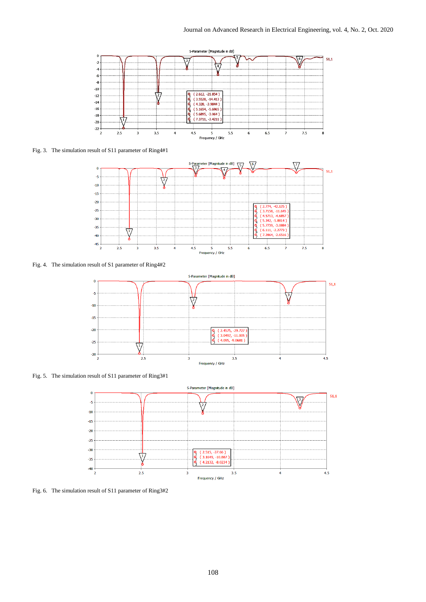

Fig. 3. The simulation result of S11 parameter of Ring4#1



Fig. 4. The simulation result of S1 parameter of Ring4#2



Fig. 5. The simulation result of S11 parameter of Ring3#1



Fig. 6. The simulation result of S11 parameter of Ring3#2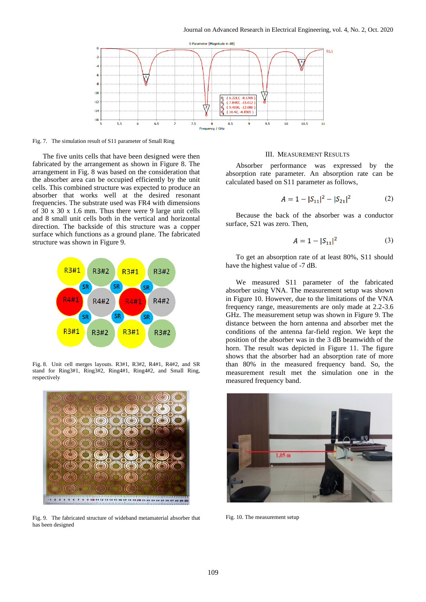

Fig. 7. The simulation result of S11 parameter of Small Ring

The five units cells that have been designed were then fabricated by the arrangement as shown in Figure 8. The arrangement in Fig. 8 was based on the consideration that the absorber area can be occupied efficiently by the unit cells. This combined structure was expected to produce an absorber that works well at the desired resonant frequencies. The substrate used was FR4 with dimensions of 30 x 30 x 1.6 mm. Thus there were 9 large unit cells and 8 small unit cells both in the vertical and horizontal direction. The backside of this structure was a copper surface which functions as a ground plane. The fabricated structure was shown in Figure 9.



Fig. 8. Unit cell merges layouts. R3#1, R3#2, R4#1, R4#2, and SR stand for Ring3#1, Ring3#2, Ring4#1, Ring4#2, and Small Ring, respectively



Fig. 9. The fabricated structure of wideband metamaterial absorber that has been designed

### III. MEASUREMENT RESULTS

Absorber performance was expressed by the absorption rate parameter. An absorption rate can be calculated based on S11 parameter as follows,

$$
A = 1 - |S_{11}|^2 - |S_{21}|^2 \tag{2}
$$

Because the back of the absorber was a conductor surface, S21 was zero. Then,

$$
A = 1 - |S_{11}|^2 \tag{3}
$$

To get an absorption rate of at least 80%, S11 should have the highest value of -7 dB.

We measured S11 parameter of the fabricated absorber using VNA. The measurement setup was shown in Figure 10. However, due to the limitations of the VNA frequency range, measurements are only made at 2.2-3.6 GHz. The measurement setup was shown in Figure 9. The distance between the horn antenna and absorber met the conditions of the antenna far-field region. We kept the position of the absorber was in the 3 dB beamwidth of the horn. The result was depicted in Figure 11. The figure shows that the absorber had an absorption rate of more than 80% in the measured frequency band. So, the measurement result met the simulation one in the measured frequency band.



Fig. 10. The measurement setup